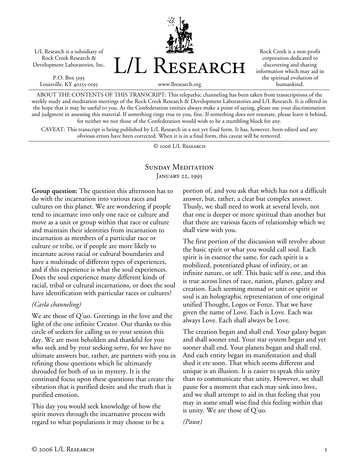L/L Research is a subsidiary of Rock Creek Research & Development Laboratories, Inc.

P.O. Box 5195 Louisville, KY 40255-0195



Rock Creek is a non-profit corporation dedicated to discovering and sharing information which may aid in the spiritual evolution of humankind.

www.llresearch.org

ABOUT THE CONTENTS OF THIS TRANSCRIPT: This telepathic channeling has been taken from transcriptions of the weekly study and meditation meetings of the Rock Creek Research & Development Laboratories and L/L Research. It is offered in the hope that it may be useful to you. As the Confederation entities always make a point of saying, please use your discrimination and judgment in assessing this material. If something rings true to you, fine. If something does not resonate, please leave it behind, for neither we nor those of the Confederation would wish to be a stumbling block for any.

CAVEAT: This transcript is being published by L/L Research in a not yet final form. It has, however, been edited and any obvious errors have been corrected. When it is in a final form, this caveat will be removed.

© 2006 L/L Research

## SUNDAY MEDITATION JANUARY 22, 1995

**Group question:** The question this afternoon has to do with the incarnation into various races and cultures on this planet. We are wondering if people tend to incarnate into only one race or culture and move as a unit or group within that race or culture and maintain their identities from incarnation to incarnation as members of a particular race or culture or tribe, or if people are more likely to incarnate across racial or cultural boundaries and have a multitude of different types of experiences, and if this experience is what the soul experiences. Does the soul experience many different kinds of racial, tribal or cultural incarnations, or does the soul have identification with particular races or cultures?

## *(Carla channeling)*

We are those of Q'uo. Greetings in the love and the light of the one infinite Creator. Our thanks to this circle of seekers for calling us to your session this day. We are most beholden and thankful for you who seek and by your seeking serve, for we have no ultimate answers but, rather, are partners with you in refining those questions which lie ultimately shrouded for both of us in mystery. It is the continued focus upon these questions that create the vibration that is purified desire and the truth that is purified emotion.

This day you would seek knowledge of how the spirit moves through the incarnative process with regard to what populations it may choose to be a

portion of, and you ask that which has not a difficult answer, but, rather, a clear but complex answer. Thusly, we shall need to work at several levels, not that one is deeper or more spiritual than another but that there are various facets of relationship which we shall view with you.

The first portion of the discussion will revolve about the basic spirit or what you would call soul. Each spirit is in essence the same, for each spirit is a mobilized, potentiated phase of infinity, or an infinite nature, or self. This basic self is one, and this is true across lines of race, nation, planet, galaxy and creation. Each seeming monad or unit or spirit or soul is an holographic representation of one original unified Thought, Logos or Force. That we have given the name of Love. Each is Love. Each was always Love. Each shall always be Love.

The creation began and shall end. Your galaxy began and shall sooner end. Your star system began and yet sooner shall end. Your planets began and shall end. And each entity began its manifestation and shall shed it ere soon. That which seems different and unique is an illusion. It is easier to speak this unity than to communicate that unity. However, we shall pause for a moment that each may sink into love, and we shall attempt to aid in that feeling that you may in some small wise find this feeling within that is unity. We are those of Q'uo.

*(Pause)*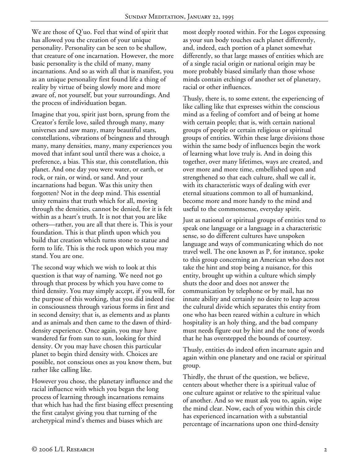We are those of Q'uo. Feel that wind of spirit that has allowed you the creation of your unique personality. Personality can be seen to be shallow, that creature of one incarnation. However, the more basic personality is the child of many, many incarnations. And so as with all that is manifest, you as an unique personality first found life a thing of reality by virtue of being slowly more and more aware of, not yourself, but your surroundings. And the process of individuation began.

Imagine that you, spirit just born, sprung from the Creator's fertile love, sailed through many, many universes and saw many, many beautiful stars, constellations, vibrations of beingness and through many, many densities, many, many experiences you moved that infant soul until there was a choice, a preference, a bias. This star, this constellation, this planet. And one day you were water, or earth, or rock, or rain, or wind, or sand. And your incarnations had begun. Was this unity then forgotten? Not in the deep mind. This essential unity remains that truth which for all, moving through the densities, cannot be denied, for it is felt within as a heart's truth. It is not that you are like others—rather, you are all that there is. This is your foundation. This is that plinth upon which you build that creation which turns stone to statue and form to life. This is the rock upon which you may stand. You are one.

The second way which we wish to look at this question is that way of naming. We need not go through that process by which you have come to third density. You may simply accept, if you will, for the purpose of this working, that you did indeed rise in consciousness through various forms in first and in second density; that is, as elements and as plants and as animals and then came to the dawn of thirddensity experience. Once again, you may have wandered far from sun to sun, looking for third density. Or you may have chosen this particular planet to begin third density with. Choices are possible, not conscious ones as you know them, but rather like calling like.

However you chose, the planetary influence and the racial influence with which you began the long process of learning through incarnations remains that which has had the first biasing effect presenting the first catalyst giving you that turning of the archetypical mind's themes and biases which are

most deeply rooted within. For the Logos expressing as your sun body touches each planet differently, and, indeed, each portion of a planet somewhat differently, so that large masses of entities which are of a single racial origin or national origin may be more probably biased similarly than those whose minds contain etchings of another set of planetary, racial or other influences.

Thusly, there is, to some extent, the experiencing of like calling like that expresses within the conscious mind as a feeling of comfort and of being at home with certain people; that is, with certain national groups of people or certain religious or spiritual groups of entities. Within these large divisions those within the same body of influences begin the work of learning what love truly is. And in doing this together, over many lifetimes, ways are created, and over more and more time, embellished upon and strengthened so that each culture, shall we call it, with its characteristic ways of dealing with ever eternal situations common to all of humankind, become more and more handy to the mind and useful to the commonsense, everyday spirit.

Just as national or spiritual groups of entities tend to speak one language or a language in a characteristic sense, so do different cultures have unspoken language and ways of communicating which do not travel well. The one known as P, for instance, spoke to this group concerning an American who does not take the hint and stop being a nuisance, for this entity, brought up within a culture which simply shuts the door and does not answer the communication by telephone or by mail, has no innate ability and certainly no desire to leap across the cultural divide which separates this entity from one who has been reared within a culture in which hospitality is an holy thing, and the bad company must needs figure out by hint and the tone of words that he has overstepped the bounds of courtesy.

Thusly, entities do indeed often incarnate again and again within one planetary and one racial or spiritual group.

Thirdly, the thrust of the question, we believe, centers about whether there is a spiritual value of one culture against or relative to the spiritual value of another. And so we must ask you to, again, wipe the mind clear. Now, each of you within this circle has experienced incarnation with a substantial percentage of incarnations upon one third-density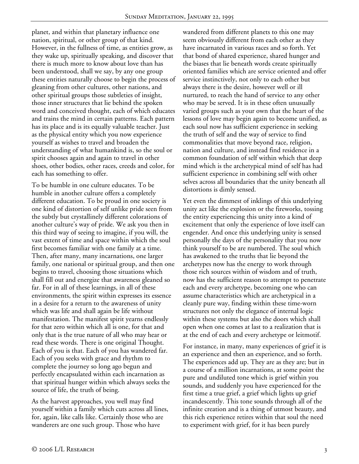planet, and within that planetary influence one nation, spiritual, or other group of that kind. However, in the fullness of time, as entities grow, as they wake up, spiritually speaking, and discover that there is much more to know about love than has been understood, shall we say, by any one group these entities naturally choose to begin the process of gleaning from other cultures, other nations, and other spiritual groups those subtleties of insight, those inner structures that lie behind the spoken word and conceived thought, each of which educates and trains the mind in certain patterns. Each pattern has its place and is its equally valuable teacher. Just as the physical entity which you now experience yourself as wishes to travel and broaden the understanding of what humankind is, so the soul or spirit chooses again and again to travel in other shoes, other bodies, other races, creeds and color, for each has something to offer.

To be humble in one culture educates. To be humble in another culture offers a completely different education. To be proud in one society is one kind of distortion of self unlike pride seen from the subtly but crystallinely different colorations of another culture's way of pride. We ask you then in this third way of seeing to imagine, if you will, the vast extent of time and space within which the soul first becomes familiar with one family at a time. Then, after many, many incarnations, one larger family, one national or spiritual group, and then one begins to travel, choosing those situations which shall fill out and energize that awareness gleaned so far. For in all of these learnings, in all of these environments, the spirit within expresses its essence in a desire for a return to the awareness of unity which was life and shall again be life without manifestation. The manifest spirit yearns endlessly for that zero within which all is one, for that and only that is the true nature of all who may hear or read these words. There is one original Thought. Each of you is that. Each of you has wandered far. Each of you seeks with grace and rhythm to complete the journey so long ago begun and perfectly encapsulated within each incarnation as that spiritual hunger within which always seeks the source of life, the truth of being.

As the harvest approaches, you well may find yourself within a family which cuts across all lines, for, again, like calls like. Certainly those who are wanderers are one such group. Those who have

wandered from different planets to this one may seem obviously different from each other as they have incarnated in various races and so forth. Yet that bond of shared experience, shared hunger and the biases that lie beneath words create spiritually oriented families which are service oriented and offer service instinctively, not only to each other but always there is the desire, however well or ill nurtured, to reach the hand of service to any other who may be served. It is in these often unusually varied groups such as your own that the heart of the lessons of love may begin again to become unified, as each soul now has sufficient experience in seeking the truth of self and the way of service to find commonalities that move beyond race, religion, nation and culture, and instead find residence in a common foundation of self within which that deep mind which is the archetypical mind of self has had sufficient experience in combining self with other selves across all boundaries that the unity beneath all distortions is dimly sensed.

Yet even the dimmest of inklings of this underlying unity act like the explosion or the fireworks, tossing the entity experiencing this unity into a kind of excitement that only the experience of love itself can engender. And once this underlying unity is sensed personally the days of the personality that you now think yourself to be are numbered. The soul which has awakened to the truths that lie beyond the archetypes now has the energy to work through those rich sources within of wisdom and of truth, now has the sufficient reason to attempt to penetrate each and every archetype, becoming one who can assume characteristics which are archetypical in a cleanly pure way, finding within these time-worn structures not only the elegance of internal logic within these systems but also the doors which shall open when one comes at last to a realization that is at the end of each and every archetype or leitmotif.

For instance, in many, many experiences of grief it is an experience and then an experience, and so forth. The experiences add up. They are as they are; but in a course of a million incarnations, at some point the pure and undiluted tone which is grief within you sounds, and suddenly you have experienced for the first time a true grief, a grief which lights up grief incandescently. This tone sounds through all of the infinite creation and is a thing of utmost beauty, and this rich experience retires within that soul the need to experiment with grief, for it has been purely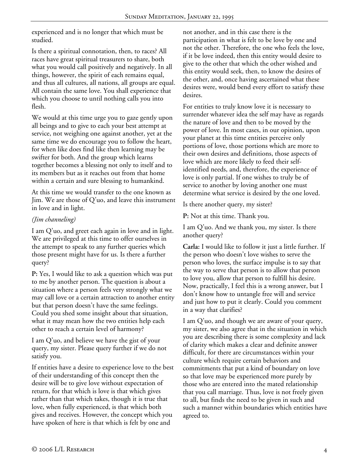experienced and is no longer that which must be studied.

Is there a spiritual connotation, then, to races? All races have great spiritual treasurers to share, both what you would call positively and negatively. In all things, however, the spirit of each remains equal, and thus all cultures, all nations, all groups are equal. All contain the same love. You shall experience that which you choose to until nothing calls you into flesh.

We would at this time urge you to gaze gently upon all beings and to give to each your best attempt at service, not weighing one against another, yet at the same time we do encourage you to follow the heart, for when like does find like then learning may be swifter for both. And the group which learns together becomes a blessing not only to itself and to its members but as it reaches out from that home within a certain and sure blessing to humankind.

At this time we would transfer to the one known as Jim. We are those of Q'uo, and leave this instrument in love and in light.

## *(Jim channeling)*

I am Q'uo, and greet each again in love and in light. We are privileged at this time to offer ourselves in the attempt to speak to any further queries which those present might have for us. Is there a further query?

**P:** Yes, I would like to ask a question which was put to me by another person. The question is about a situation where a person feels very strongly what we may call love or a certain attraction to another entity but that person doesn't have the same feelings. Could you shed some insight about that situation, what it may mean how the two entities help each other to reach a certain level of harmony?

I am Q'uo, and believe we have the gist of your query, my sister. Please query further if we do not satisfy you.

If entities have a desire to experience love to the best of their understanding of this concept then the desire will be to give love without expectation of return, for that which is love is that which gives rather than that which takes, though it is true that love, when fully experienced, is that which both gives and receives. However, the concept which you have spoken of here is that which is felt by one and

not another, and in this case there is the participation in what is felt to be love by one and not the other. Therefore, the one who feels the love, if it be love indeed, then this entity would desire to give to the other that which the other wished and this entity would seek, then, to know the desires of the other, and, once having ascertained what these desires were, would bend every effort to satisfy these desires.

For entities to truly know love it is necessary to surrender whatever idea the self may have as regards the nature of love and then to be moved by the power of love. In most cases, in our opinion, upon your planet at this time entities perceive only portions of love, those portions which are more to their own desires and definitions, those aspects of love which are more likely to feed their selfidentified needs, and, therefore, the experience of love is only partial. If one wishes to truly be of service to another by loving another one must determine what service is desired by the one loved.

Is there another query, my sister?

**P:** Not at this time. Thank you.

I am Q'uo. And we thank you, my sister. Is there another query?

**Carla:** I would like to follow it just a little further. If the person who doesn't love wishes to serve the person who loves, the surface impulse is to say that the way to serve that person is to allow that person to love you, allow that person to fulfill his desire. Now, practically, I feel this is a wrong answer, but I don't know how to untangle free will and service and just how to put it clearly. Could you comment in a way that clarifies?

I am Q'uo, and though we are aware of your query, my sister, we also agree that in the situation in which you are describing there is some complexity and lack of clarity which makes a clear and definite answer difficult, for there are circumstances within your culture which require certain behaviors and commitments that put a kind of boundary on love so that love may be experienced more purely by those who are entered into the mated relationship that you call marriage. Thus, love is not freely given to all, but finds the need to be given in such and such a manner within boundaries which entities have agreed to.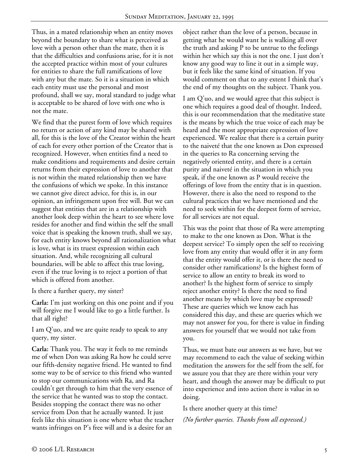Thus, in a mated relationship when an entity moves beyond the boundary to share what is perceived as love with a person other than the mate, then it is that the difficulties and confusions arise, for it is not the accepted practice within most of your cultures for entities to share the full ramifications of love with any but the mate. So it is a situation in which each entity must use the personal and most profound, shall we say, moral standard to judge what is acceptable to be shared of love with one who is not the mate.

We find that the purest form of love which requires no return or action of any kind may be shared with all, for this is the love of the Creator within the heart of each for every other portion of the Creator that is recognized. However, when entities find a need to make conditions and requirements and desire certain returns from their expression of love to another that is not within the mated relationship then we have the confusions of which we spoke. In this instance we cannot give direct advice, for this is, in our opinion, an infringement upon free will. But we can suggest that entities that are in a relationship with another look deep within the heart to see where love resides for another and find within the self the small voice that is speaking the known truth, shall we say, for each entity knows beyond all rationalization what is love, what is its truest expression within each situation. And, while recognizing all cultural boundaries, will be able to affect this true loving, even if the true loving is to reject a portion of that which is offered from another.

Is there a further query, my sister?

**Carla:** I'm just working on this one point and if you will forgive me I would like to go a little further. Is that all right?

I am Q'uo, and we are quite ready to speak to any query, my sister.

**Carla:** Thank you. The way it feels to me reminds me of when Don was asking Ra how he could serve our fifth-density negative friend. He wanted to find some way to be of service to this friend who wanted to stop our communications with Ra, and Ra couldn't get through to him that the very essence of the service that he wanted was to stop the contact. Besides stopping the contact there was no other service from Don that he actually wanted. It just feels like this situation is one where what the teacher wants infringes on P's free will and is a desire for an

object rather than the love of a person, because in getting what he would want he is walking all over the truth and asking P to be untrue to the feelings within her which say this is not the one. I just don't know any good way to line it out in a simple way, but it feels like the same kind of situation. If you would comment on that to any extent I think that's the end of my thoughts on the subject. Thank you.

I am Q'uo, and we would agree that this subject is one which requires a good deal of thought. Indeed, this is our recommendation that the meditative state is the means by which the true voice of each may be heard and the most appropriate expression of love experienced. We realize that there is a certain purity to the naiveté that the one known as Don expressed in the queries to Ra concerning serving the negatively oriented entity, and there is a certain purity and naiveté in the situation in which you speak, if the one known as P would receive the offerings of love from the entity that is in question. However, there is also the need to respond to the cultural practices that we have mentioned and the need to seek within for the deepest form of service, for all services are not equal.

This was the point that those of Ra were attempting to make to the one known as Don. What is the deepest service? To simply open the self to receiving love from any entity that would offer it in any form that the entity would offer it, or is there the need to consider other ramifications? Is the highest form of service to allow an entity to break its word to another? Is the highest form of service to simply reject another entity? Is there the need to find another means by which love may be expressed? These are queries which we know each has considered this day, and these are queries which we may not answer for you, for there is value in finding answers for yourself that we would not take from you.

Thus, we must bate our answers as we have, but we may recommend to each the value of seeking within meditation the answers for the self from the self, for we assure you that they are there within your very heart, and though the answer may be difficult to put into experience and into action there is value in so doing.

Is there another query at this time?

*(No further queries. Thanks from all expressed.)*